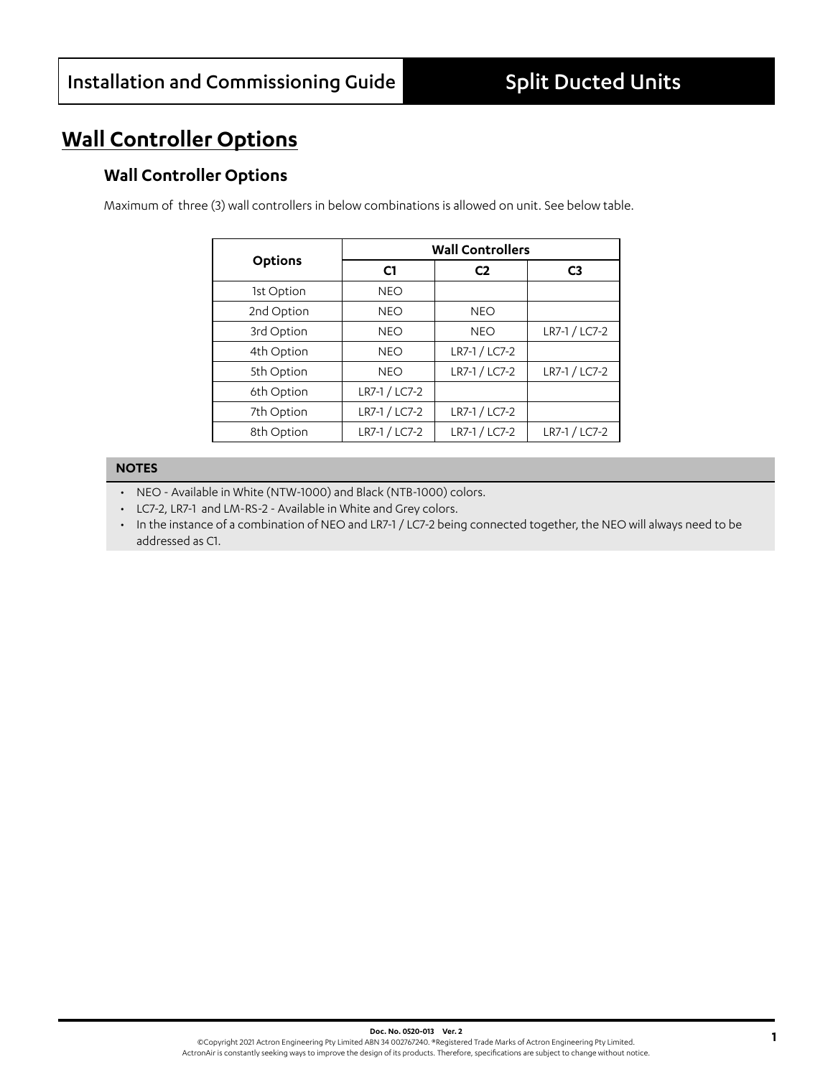# **Wall Controller Options**

## **Wall Controller Options**

Maximum of three (3) wall controllers in below combinations is allowed on unit. See below table.

|                | <b>Wall Controllers</b> |                |                |
|----------------|-------------------------|----------------|----------------|
| <b>Options</b> | C <sub>1</sub>          | C <sub>2</sub> | C <sub>3</sub> |
| 1st Option     | <b>NEO</b>              |                |                |
| 2nd Option     | <b>NEO</b>              | <b>NEO</b>     |                |
| 3rd Option     | <b>NEO</b>              | <b>NEO</b>     | LR7-1 / LC7-2  |
| 4th Option     | <b>NEO</b>              | LR7-1 / LC7-2  |                |
| 5th Option     | <b>NEO</b>              | LR7-1 / LC7-2  | LR7-1 / LC7-2  |
| 6th Option     | LR7-1 / LC7-2           |                |                |
| 7th Option     | LR7-1 / LC7-2           | LR7-1 / LC7-2  |                |
| 8th Option     | LR7-1 / LC7-2           | LR7-1 / LC7-2  | LR7-1 / LC7-2  |

### **NOTES**

- NEO Available in White (NTW-1000) and Black (NTB-1000) colors.
- LC7-2, LR7-1 and LM-RS-2 Available in White and Grey colors.
- In the instance of a combination of NEO and LR7-1 / LC7-2 being connected together, the NEO will always need to be addressed as C1.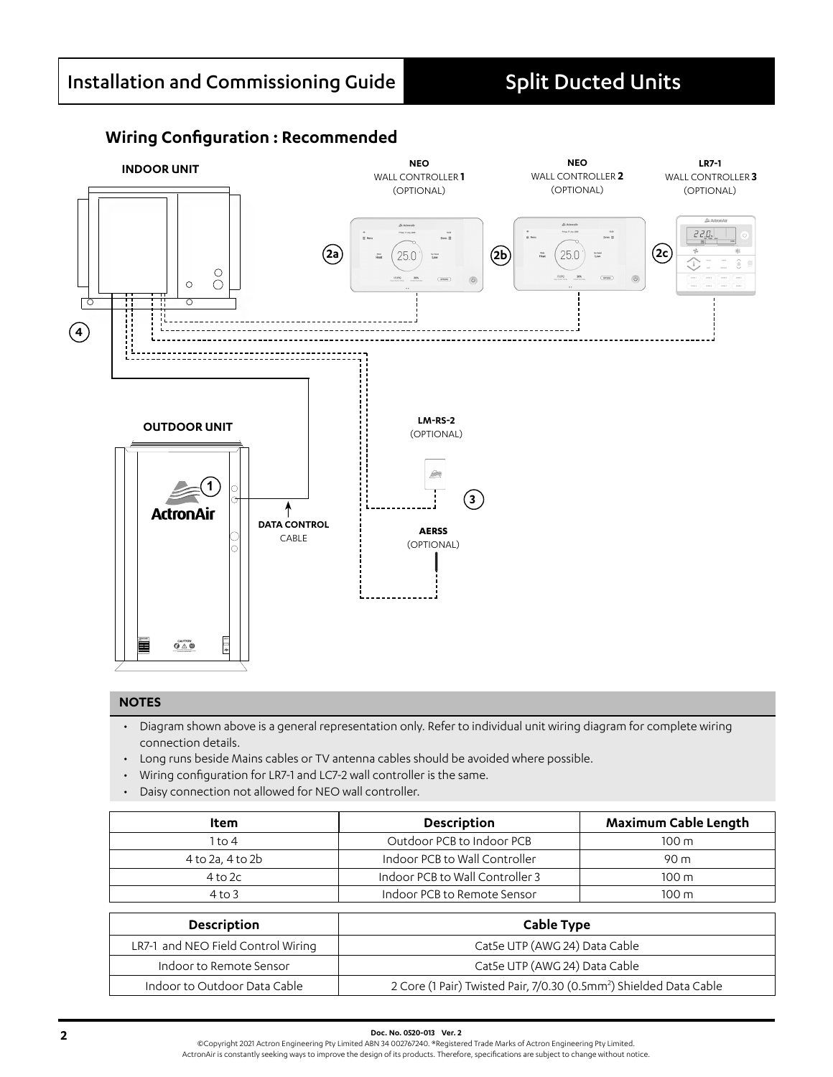### **Wiring Configuration : Recommended**



#### **NOTES**

- Diagram shown above is a general representation only. Refer to individual unit wiring diagram for complete wiring connection details.
- Long runs beside Mains cables or TV antenna cables should be avoided where possible.
- Wiring configuration for LR7-1 and LC7-2 wall controller is the same.
- Daisy connection not allowed for NEO wall controller.

| Item             | <b>Description</b>                             | Maximum Cable Length |
|------------------|------------------------------------------------|----------------------|
| 1 to 4           | Outdoor PCB to Indoor PCB                      | $100 \text{ m}$      |
| 4 to 2a, 4 to 2b | Indoor PCB to Wall Controller                  | 90 <sub>m</sub>      |
| $4$ to $2c$      | Indoor PCB to Wall Controller 3                | $100 \text{ m}$      |
| $4$ to 3         | Indoor PCB to Remote Sensor<br>$100 \text{ m}$ |                      |

| Description                        | Cable Type                                                                     |  |
|------------------------------------|--------------------------------------------------------------------------------|--|
| LR7-1 and NEO Field Control Wiring | Cat5e UTP (AWG 24) Data Cable                                                  |  |
| Indoor to Remote Sensor            | Cat5e UTP (AWG 24) Data Cable                                                  |  |
| Indoor to Outdoor Data Cable       | 2 Core (1 Pair) Twisted Pair, 7/0.30 (0.5mm <sup>2</sup> ) Shielded Data Cable |  |